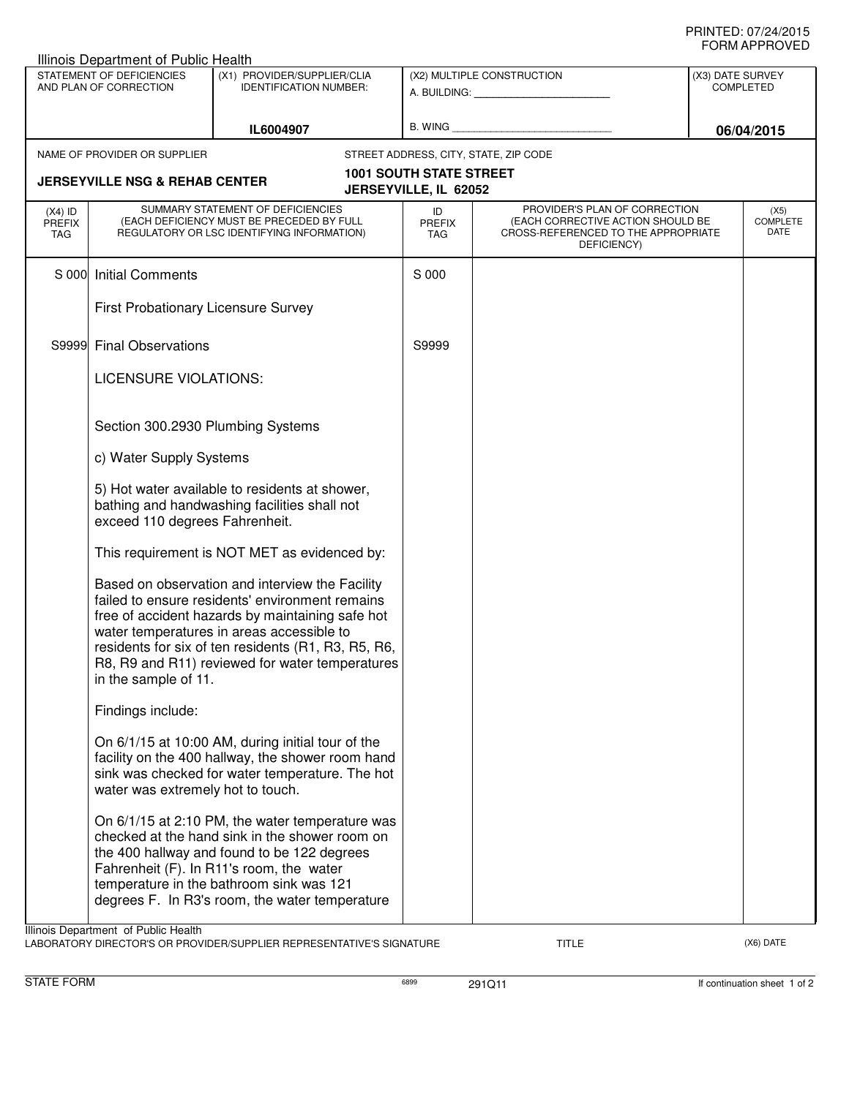## PRINTED: 07/24/2015 FORM APPROVED

|                                                                                                       | Illinois Department of Public Health                                                                                             |                                                                                                                                                                                                                                                                                                               |                                                         |                                                                                                                          |                                      | ◡੶┉┌┅ ┌ ┌ ┌ ∪ ∪ ∟◡ |  |  |  |  |
|-------------------------------------------------------------------------------------------------------|----------------------------------------------------------------------------------------------------------------------------------|---------------------------------------------------------------------------------------------------------------------------------------------------------------------------------------------------------------------------------------------------------------------------------------------------------------|---------------------------------------------------------|--------------------------------------------------------------------------------------------------------------------------|--------------------------------------|--------------------|--|--|--|--|
| STATEMENT OF DEFICIENCIES<br>AND PLAN OF CORRECTION                                                   |                                                                                                                                  | (X1) PROVIDER/SUPPLIER/CLIA<br><b>IDENTIFICATION NUMBER:</b>                                                                                                                                                                                                                                                  | (X2) MULTIPLE CONSTRUCTION<br>A. BUILDING: A. BUILDING: |                                                                                                                          | (X3) DATE SURVEY<br><b>COMPLETED</b> |                    |  |  |  |  |
|                                                                                                       |                                                                                                                                  | IL6004907                                                                                                                                                                                                                                                                                                     |                                                         |                                                                                                                          | 06/04/2015                           |                    |  |  |  |  |
|                                                                                                       | NAME OF PROVIDER OR SUPPLIER                                                                                                     |                                                                                                                                                                                                                                                                                                               | STREET ADDRESS, CITY, STATE, ZIP CODE                   |                                                                                                                          |                                      |                    |  |  |  |  |
| <b>1001 SOUTH STATE STREET</b><br><b>JERSEYVILLE NSG &amp; REHAB CENTER</b><br>JERSEYVILLE, IL 62052  |                                                                                                                                  |                                                                                                                                                                                                                                                                                                               |                                                         |                                                                                                                          |                                      |                    |  |  |  |  |
| $(X4)$ ID<br><b>PREFIX</b><br>TAG                                                                     | SUMMARY STATEMENT OF DEFICIENCIES<br>(EACH DEFICIENCY MUST BE PRECEDED BY FULL<br>REGULATORY OR LSC IDENTIFYING INFORMATION)     |                                                                                                                                                                                                                                                                                                               | ID<br><b>PREFIX</b><br>TAG                              | PROVIDER'S PLAN OF CORRECTION<br>(EACH CORRECTIVE ACTION SHOULD BE<br>CROSS-REFERENCED TO THE APPROPRIATE<br>DEFICIENCY) | (X5)<br><b>COMPLETE</b><br>DATE      |                    |  |  |  |  |
| S 000                                                                                                 | <b>Initial Comments</b>                                                                                                          |                                                                                                                                                                                                                                                                                                               | S 000                                                   |                                                                                                                          |                                      |                    |  |  |  |  |
|                                                                                                       | First Probationary Licensure Survey                                                                                              |                                                                                                                                                                                                                                                                                                               |                                                         |                                                                                                                          |                                      |                    |  |  |  |  |
| S9999                                                                                                 | <b>Final Observations</b>                                                                                                        |                                                                                                                                                                                                                                                                                                               | S9999                                                   |                                                                                                                          |                                      |                    |  |  |  |  |
|                                                                                                       | LICENSURE VIOLATIONS:                                                                                                            |                                                                                                                                                                                                                                                                                                               |                                                         |                                                                                                                          |                                      |                    |  |  |  |  |
|                                                                                                       | Section 300.2930 Plumbing Systems                                                                                                |                                                                                                                                                                                                                                                                                                               |                                                         |                                                                                                                          |                                      |                    |  |  |  |  |
|                                                                                                       | c) Water Supply Systems                                                                                                          |                                                                                                                                                                                                                                                                                                               |                                                         |                                                                                                                          |                                      |                    |  |  |  |  |
|                                                                                                       | 5) Hot water available to residents at shower,<br>bathing and handwashing facilities shall not<br>exceed 110 degrees Fahrenheit. |                                                                                                                                                                                                                                                                                                               |                                                         |                                                                                                                          |                                      |                    |  |  |  |  |
|                                                                                                       | This requirement is NOT MET as evidenced by:                                                                                     |                                                                                                                                                                                                                                                                                                               |                                                         |                                                                                                                          |                                      |                    |  |  |  |  |
|                                                                                                       | in the sample of 11.                                                                                                             | Based on observation and interview the Facility<br>failed to ensure residents' environment remains<br>free of accident hazards by maintaining safe hot<br>water temperatures in areas accessible to<br>residents for six of ten residents (R1, R3, R5, R6,<br>R8, R9 and R11) reviewed for water temperatures |                                                         |                                                                                                                          |                                      |                    |  |  |  |  |
|                                                                                                       | Findings include:                                                                                                                |                                                                                                                                                                                                                                                                                                               |                                                         |                                                                                                                          |                                      |                    |  |  |  |  |
|                                                                                                       | water was extremely hot to touch.                                                                                                | On 6/1/15 at 10:00 AM, during initial tour of the<br>facility on the 400 hallway, the shower room hand<br>sink was checked for water temperature. The hot                                                                                                                                                     |                                                         |                                                                                                                          |                                      |                    |  |  |  |  |
|                                                                                                       |                                                                                                                                  | On 6/1/15 at 2:10 PM, the water temperature was<br>checked at the hand sink in the shower room on<br>the 400 hallway and found to be 122 degrees<br>Fahrenheit (F). In R11's room, the water<br>temperature in the bathroom sink was 121<br>degrees F. In R3's room, the water temperature                    |                                                         |                                                                                                                          |                                      |                    |  |  |  |  |
| Illinois Department of Public Health<br>BROVIDED (CLIBBLIER BEBBECENTATIVEIC CICNATI)<br>$(Var)$ DATE |                                                                                                                                  |                                                                                                                                                                                                                                                                                                               |                                                         |                                                                                                                          |                                      |                    |  |  |  |  |

LABORATORY DIRECTOR'S OR PROVIDER/SUPPLIER REPRESENTATIVE'S SIGNATURE TITLE TITLE THE CONSERVATION OF THE CONST